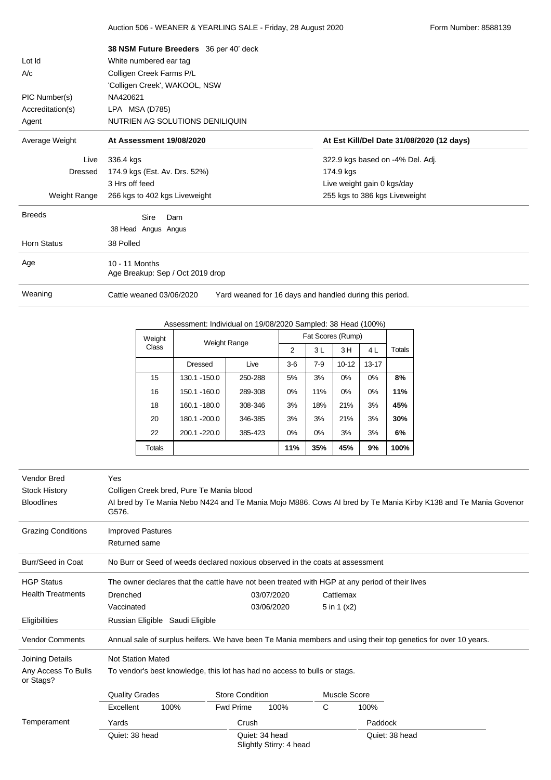|                    | 38 NSM Future Breeders 36 per 40' deck             |                                                         |
|--------------------|----------------------------------------------------|---------------------------------------------------------|
| Lot Id             | White numbered ear tag                             |                                                         |
| A/c                | Colligen Creek Farms P/L                           |                                                         |
|                    | 'Colligen Creek', WAKOOL, NSW                      |                                                         |
| PIC Number(s)      | NA420621                                           |                                                         |
| Accreditation(s)   | LPA MSA (D785)                                     |                                                         |
| Agent              | NUTRIEN AG SOLUTIONS DENILIQUIN                    |                                                         |
| Average Weight     | At Assessment 19/08/2020                           | At Est Kill/Del Date 31/08/2020 (12 days)               |
| Live               | 336.4 kgs                                          | 322.9 kgs based on -4% Del. Adj.                        |
| Dressed            | 174.9 kgs (Est. Av. Drs. 52%)                      | 174.9 kgs                                               |
|                    | 3 Hrs off feed                                     | Live weight gain 0 kgs/day                              |
| Weight Range       | 266 kgs to 402 kgs Liveweight                      | 255 kgs to 386 kgs Liveweight                           |
| <b>Breeds</b>      | Sire<br>Dam                                        |                                                         |
|                    | 38 Head Angus Angus                                |                                                         |
|                    |                                                    |                                                         |
| <b>Horn Status</b> | 38 Polled                                          |                                                         |
| Age                | 10 - 11 Months<br>Age Breakup: Sep / Oct 2019 drop |                                                         |
| Weaning            | Cattle weaned 03/06/2020                           | Yard weaned for 16 days and handled during this period. |

Auction 506 - WEANER & YEARLING SALE - Friday, 28 August 2020 Form Number: 8588139

## Assessment: Individual on 19/08/2020 Sampled: 38 Head (100%)

| ASSESSITIENI. INQIVIQUAI ON 19/00/2020 SAMIDIEQ. SO FIEAQ (10070) |                |         |                   |       |           |           |               |
|-------------------------------------------------------------------|----------------|---------|-------------------|-------|-----------|-----------|---------------|
| Weight                                                            | Weight Range   |         | Fat Scores (Rump) |       |           |           |               |
| <b>Class</b>                                                      |                |         | $\overline{2}$    | 3L    | 3H        | 4L        | <b>Totals</b> |
|                                                                   | <b>Dressed</b> | Live    | $3-6$             | $7-9$ | $10 - 12$ | $13 - 17$ |               |
| 15                                                                | 130.1 - 150.0  | 250-288 | 5%                | 3%    | 0%        | $0\%$     | 8%            |
| 16                                                                | 150.1 - 160.0  | 289-308 | 0%                | 11%   | 0%        | 0%        | 11%           |
| 18                                                                | 160.1 - 180.0  | 308-346 | 3%                | 18%   | 21%       | 3%        | 45%           |
| 20                                                                | 180.1 -200.0   | 346-385 | 3%                | 3%    | 21%       | 3%        | 30%           |
| 22                                                                | 200.1 - 220.0  | 385-423 | 0%                | $0\%$ | 3%        | 3%        | 6%            |
| <b>Totals</b>                                                     |                |         | 11%               | 35%   | 45%       | 9%        | 100%          |

| Vendor Bred<br><b>Stock History</b><br><b>Bloodlines</b> | Yes<br>G576.                                                                                                  | Colligen Creek bred, Pure Te Mania blood |                                                                           |                                           |              |                | Al bred by Te Mania Nebo N424 and Te Mania Mojo M886. Cows Al bred by Te Mania Kirby K138 and Te Mania Govenor |
|----------------------------------------------------------|---------------------------------------------------------------------------------------------------------------|------------------------------------------|---------------------------------------------------------------------------|-------------------------------------------|--------------|----------------|----------------------------------------------------------------------------------------------------------------|
| <b>Grazing Conditions</b>                                | <b>Improved Pastures</b>                                                                                      |                                          |                                                                           |                                           |              |                |                                                                                                                |
|                                                          | Returned same                                                                                                 |                                          |                                                                           |                                           |              |                |                                                                                                                |
| Burr/Seed in Coat                                        | No Burr or Seed of weeds declared noxious observed in the coats at assessment                                 |                                          |                                                                           |                                           |              |                |                                                                                                                |
| <b>HGP Status</b>                                        | The owner declares that the cattle have not been treated with HGP at any period of their lives                |                                          |                                                                           |                                           |              |                |                                                                                                                |
| <b>Health Treatments</b>                                 | Drenched                                                                                                      |                                          |                                                                           | 03/07/2020                                | Cattlemax    |                |                                                                                                                |
|                                                          | Vaccinated                                                                                                    |                                          |                                                                           | 03/06/2020                                | 5 in 1 (x2)  |                |                                                                                                                |
| Eligibilities                                            |                                                                                                               | Russian Eligible Saudi Eligible          |                                                                           |                                           |              |                |                                                                                                                |
| <b>Vendor Comments</b>                                   | Annual sale of surplus heifers. We have been Te Mania members and using their top genetics for over 10 years. |                                          |                                                                           |                                           |              |                |                                                                                                                |
| Joining Details                                          | <b>Not Station Mated</b>                                                                                      |                                          |                                                                           |                                           |              |                |                                                                                                                |
| Any Access To Bulls<br>or Stags?                         |                                                                                                               |                                          | To vendor's best knowledge, this lot has had no access to bulls or stags. |                                           |              |                |                                                                                                                |
|                                                          | <b>Quality Grades</b>                                                                                         |                                          | <b>Store Condition</b>                                                    |                                           | Muscle Score |                |                                                                                                                |
|                                                          | Excellent                                                                                                     | 100%                                     | <b>Fwd Prime</b>                                                          | 100%                                      | С            | 100%           |                                                                                                                |
| Temperament                                              | Yards                                                                                                         |                                          | Crush                                                                     |                                           |              | Paddock        |                                                                                                                |
|                                                          | Quiet: 38 head                                                                                                |                                          |                                                                           | Quiet: 34 head<br>Slightly Stirry: 4 head |              | Quiet: 38 head |                                                                                                                |